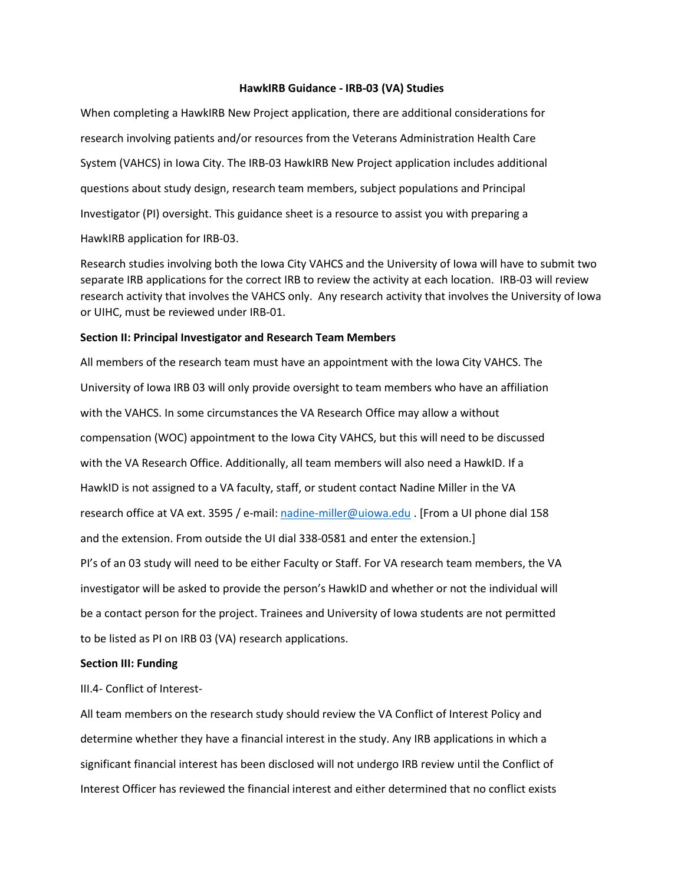#### **HawkIRB Guidance - IRB-03 (VA) Studies**

When completing a HawkIRB New Project application, there are additional considerations for research involving patients and/or resources from the Veterans Administration Health Care System (VAHCS) in Iowa City. The IRB-03 HawkIRB New Project application includes additional questions about study design, research team members, subject populations and Principal Investigator (PI) oversight. This guidance sheet is a resource to assist you with preparing a HawkIRB application for IRB-03.

Research studies involving both the Iowa City VAHCS and the University of Iowa will have to submit two separate IRB applications for the correct IRB to review the activity at each location. IRB-03 will review research activity that involves the VAHCS only. Any research activity that involves the University of Iowa or UIHC, must be reviewed under IRB-01.

#### **Section II: Principal Investigator and Research Team Members**

All members of the research team must have an appointment with the Iowa City VAHCS. The University of Iowa IRB 03 will only provide oversight to team members who have an affiliation with the VAHCS. In some circumstances the VA Research Office may allow a without compensation (WOC) appointment to the Iowa City VAHCS, but this will need to be discussed with the VA Research Office. Additionally, all team members will also need a HawkID. If a HawkID is not assigned to a VA faculty, staff, or student contact Nadine Miller in the VA research office at VA ext. 3595 / e-mail: [nadine-miller@uiowa.edu](mailto:nadine-miller@uiowa.edu) . [From a UI phone dial 158 and the extension. From outside the UI dial 338-0581 and enter the extension.] PI's of an 03 study will need to be either Faculty or Staff. For VA research team members, the VA investigator will be asked to provide the person's HawkID and whether or not the individual will be a contact person for the project. Trainees and University of Iowa students are not permitted to be listed as PI on IRB 03 (VA) research applications.

#### **Section III: Funding**

III.4- Conflict of Interest-

All team members on the research study should review the VA Conflict of Interest Policy and determine whether they have a financial interest in the study. Any IRB applications in which a significant financial interest has been disclosed will not undergo IRB review until the Conflict of Interest Officer has reviewed the financial interest and either determined that no conflict exists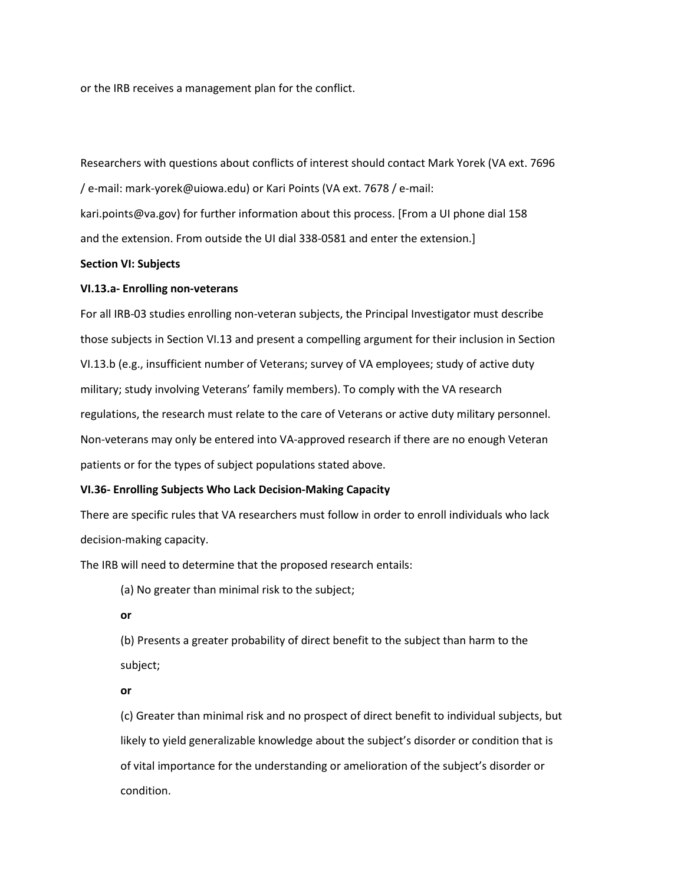or the IRB receives a management plan for the conflict.

Researchers with questions about conflicts of interest should contact Mark Yorek (VA ext. 7696 / e-mail: mark-yorek@uiowa.edu) or Kari Points (VA ext. 7678 / e-mail: kari.points@va.gov) for further information about this process. [From a UI phone dial 158 and the extension. From outside the UI dial 338-0581 and enter the extension.]

# **Section VI: Subjects**

## **VI.13.a- Enrolling non-veterans**

For all IRB-03 studies enrolling non-veteran subjects, the Principal Investigator must describe those subjects in Section VI.13 and present a compelling argument for their inclusion in Section VI.13.b (e.g., insufficient number of Veterans; survey of VA employees; study of active duty military; study involving Veterans' family members). To comply with the VA research regulations, the research must relate to the care of Veterans or active duty military personnel. Non-veterans may only be entered into VA-approved research if there are no enough Veteran patients or for the types of subject populations stated above.

## **VI.36- Enrolling Subjects Who Lack Decision-Making Capacity**

There are specific rules that VA researchers must follow in order to enroll individuals who lack decision-making capacity.

The IRB will need to determine that the proposed research entails:

(a) No greater than minimal risk to the subject;

**or** 

(b) Presents a greater probability of direct benefit to the subject than harm to the subject;

**or** 

(c) Greater than minimal risk and no prospect of direct benefit to individual subjects, but likely to yield generalizable knowledge about the subject's disorder or condition that is of vital importance for the understanding or amelioration of the subject's disorder or condition.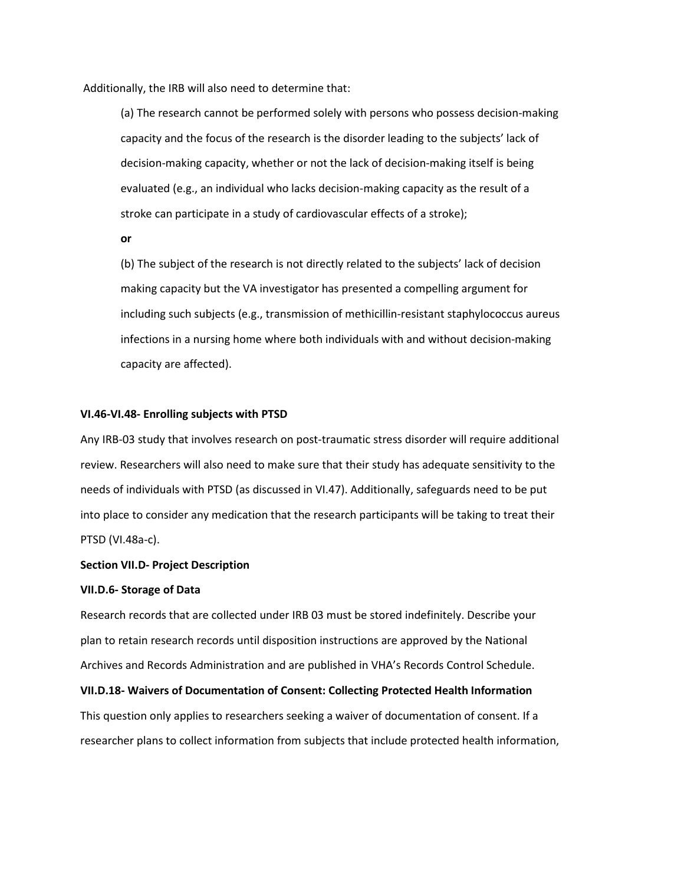Additionally, the IRB will also need to determine that:

(a) The research cannot be performed solely with persons who possess decision-making capacity and the focus of the research is the disorder leading to the subjects' lack of decision-making capacity, whether or not the lack of decision-making itself is being evaluated (e.g., an individual who lacks decision-making capacity as the result of a stroke can participate in a study of cardiovascular effects of a stroke);

**or** 

(b) The subject of the research is not directly related to the subjects' lack of decision making capacity but the VA investigator has presented a compelling argument for including such subjects (e.g., transmission of methicillin-resistant staphylococcus aureus infections in a nursing home where both individuals with and without decision-making capacity are affected).

#### **VI.46-VI.48- Enrolling subjects with PTSD**

Any IRB-03 study that involves research on post-traumatic stress disorder will require additional review. Researchers will also need to make sure that their study has adequate sensitivity to the needs of individuals with PTSD (as discussed in VI.47). Additionally, safeguards need to be put into place to consider any medication that the research participants will be taking to treat their PTSD (VI.48a-c).

#### **Section VII.D- Project Description**

## **VII.D.6- Storage of Data**

Research records that are collected under IRB 03 must be stored indefinitely. Describe your plan to retain research records until disposition instructions are approved by the National Archives and Records Administration and are published in VHA's Records Control Schedule.

**VII.D.18- Waivers of Documentation of Consent: Collecting Protected Health Information**  This question only applies to researchers seeking a waiver of documentation of consent. If a researcher plans to collect information from subjects that include protected health information,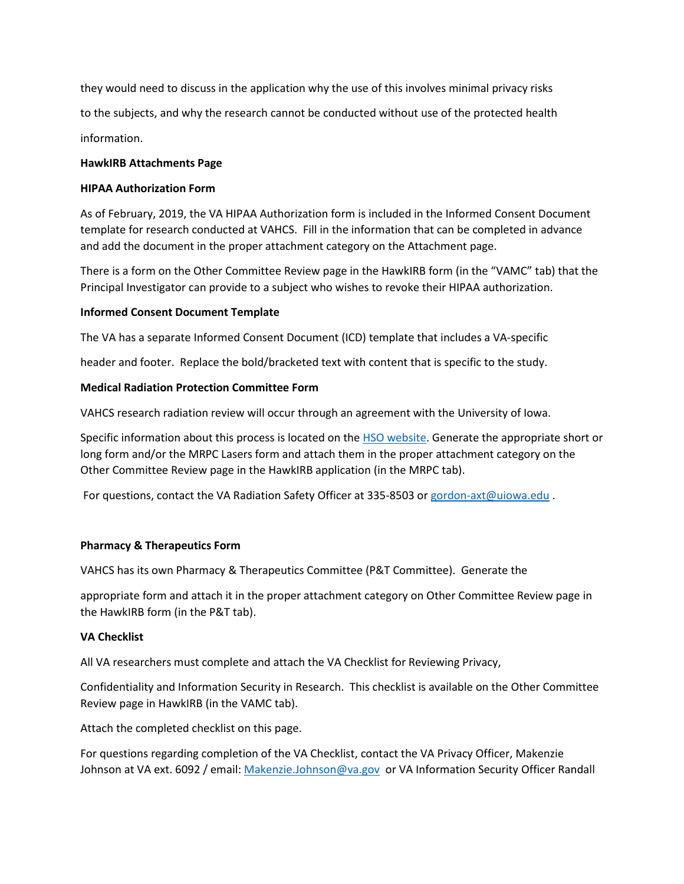they would need to discuss in the application why the use of this involves minimal privacy risks to the subjects, and why the research cannot be conducted without use of the protected health information.

# **HawkIRB Attachments Page**

## **HIPAA Authorization Form**

As of February, 2019, the VA HIPAA Authorization form is included in the Informed Consent Document template for research conducted at VAHCS. Fill in the information that can be completed in advance and add the document in the proper attachment category on the Attachment page.

There is a form on the Other Committee Review page in the HawkIRB form (in the "VAMC" tab) that the Principal Investigator can provide to a subject who wishes to revoke their HIPAA authorization.

# **Informed Consent Document Template**

The VA has a separate Informed Consent Document (ICD) template that includes a VA-specific

header and footer. Replace the bold/bracketed text with content that is specific to the study.

# **Medical Radiation Protection Committee Form**

VAHCS research radiation review will occur through an agreement with the University of Iowa.

Specific information about this process is located on the [HSO website.](https://ehs.research.uiowa.edu/vamc-safety-information-and-training) Generate the appropriate short or long form and/or the MRPC Lasers form and attach them in the proper attachment category on the Other Committee Review page in the HawkIRB application (in the MRPC tab).

For questions, contact the VA Radiation Safety Officer at 335-8503 o[r gordon-axt@uiowa.edu](mailto:gordon-axt@uiowa.edu) .

# **Pharmacy & Therapeutics Form**

VAHCS has its own Pharmacy & Therapeutics Committee (P&T Committee). Generate the

appropriate form and attach it in the proper attachment category on Other Committee Review page in the HawkIRB form (in the P&T tab).

## **VA Checklist**

All VA researchers must complete and attach the VA Checklist for Reviewing Privacy,

Confidentiality and Information Security in Research. This checklist is available on the Other Committee Review page in HawkIRB (in the VAMC tab).

Attach the completed checklist on this page.

For questions regarding completion of the VA Checklist, contact the VA Privacy Officer, Makenzie Johnson at VA ext. 6092 / email[: Makenzie.Johnson@va.gov](mailto:Makenzie.Johnson@va.gov) or VA Information Security Officer Randall